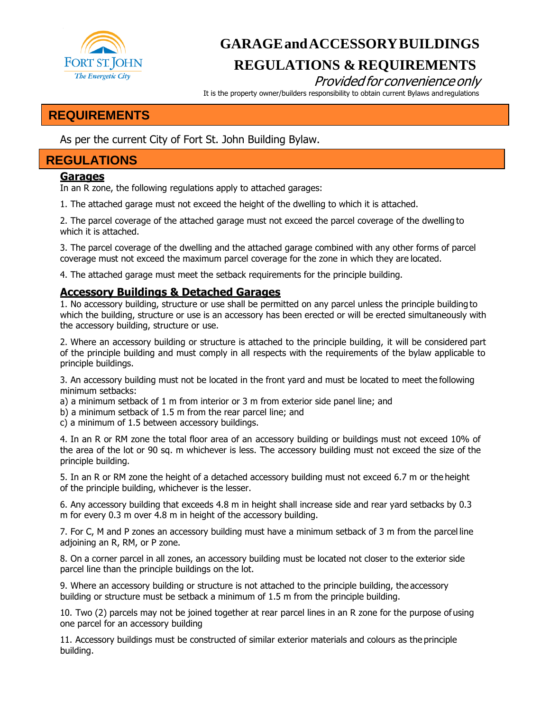

# **GARAGEandACCESSORYBUILDINGS REGULATIONS & REQUIREMENTS**

## Provided for convenience only

It is the property owner/builders responsibility to obtain current Bylaws and regulations

## **REQUIREMENTS**

As per the current City of Fort St. John Building Bylaw.

## **REGULATIONS**

### **Garages**

In an R zone, the following regulations apply to attached garages:

1. The attached garage must not exceed the height of the dwelling to which it is attached.

2. The parcel coverage of the attached garage must not exceed the parcel coverage of the dwelling to which it is attached.

3. The parcel coverage of the dwelling and the attached garage combined with any other forms of parcel coverage must not exceed the maximum parcel coverage for the zone in which they are located.

4. The attached garage must meet the setback requirements for the principle building.

### **Accessory Buildings & Detached Garages**

1. No accessory building, structure or use shall be permitted on any parcel unless the principle building to which the building, structure or use is an accessory has been erected or will be erected simultaneously with the accessory building, structure or use.

2. Where an accessory building or structure is attached to the principle building, it will be considered part of the principle building and must comply in all respects with the requirements of the bylaw applicable to principle buildings.

3. An accessory building must not be located in the front yard and must be located to meet the following minimum setbacks:

a) a minimum setback of 1 m from interior or 3 m from exterior side panel line; and

b) a minimum setback of 1.5 m from the rear parcel line; and

c) a minimum of 1.5 between accessory buildings.

4. In an R or RM zone the total floor area of an accessory building or buildings must not exceed 10% of the area of the lot or 90 sq. m whichever is less. The accessory building must not exceed the size of the principle building.

5. In an R or RM zone the height of a detached accessory building must not exceed 6.7 m or the height of the principle building, whichever is the lesser.

6. Any accessory building that exceeds 4.8 m in height shall increase side and rear yard setbacks by 0.3 m for every 0.3 m over 4.8 m in height of the accessory building.

7. For C, M and P zones an accessory building must have a minimum setback of 3 m from the parcel line adjoining an R, RM, or P zone.

8. On a corner parcel in all zones, an accessory building must be located not closer to the exterior side parcel line than the principle buildings on the lot.

9. Where an accessory building or structure is not attached to the principle building, the accessory building or structure must be setback a minimum of 1.5 m from the principle building.

10. Two (2) parcels may not be joined together at rear parcel lines in an R zone for the purpose of using one parcel for an accessory building

11. Accessory buildings must be constructed of similar exterior materials and colours as the principle building.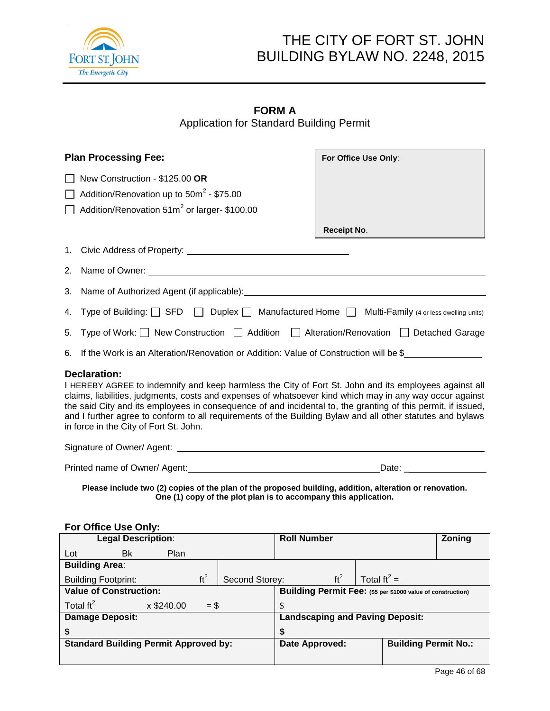

# THE CITY OF FORT ST. JOHN BUILDING BYLAW NO. 2248, 2015

## **FORM A** Application for Standard Building Permit

| <b>Plan Processing Fee:</b>                                                                                                                                                                                                                                                                                                                                                                                                                                                                                      | For Office Use Only:                                                                                                                                                                                                           |  |
|------------------------------------------------------------------------------------------------------------------------------------------------------------------------------------------------------------------------------------------------------------------------------------------------------------------------------------------------------------------------------------------------------------------------------------------------------------------------------------------------------------------|--------------------------------------------------------------------------------------------------------------------------------------------------------------------------------------------------------------------------------|--|
| New Construction - \$125.00 OR                                                                                                                                                                                                                                                                                                                                                                                                                                                                                   |                                                                                                                                                                                                                                |  |
| Addition/Renovation up to $50m^2 - $75.00$                                                                                                                                                                                                                                                                                                                                                                                                                                                                       |                                                                                                                                                                                                                                |  |
| Addition/Renovation 51m <sup>2</sup> or larger-\$100.00                                                                                                                                                                                                                                                                                                                                                                                                                                                          |                                                                                                                                                                                                                                |  |
|                                                                                                                                                                                                                                                                                                                                                                                                                                                                                                                  | <b>Receipt No.</b>                                                                                                                                                                                                             |  |
|                                                                                                                                                                                                                                                                                                                                                                                                                                                                                                                  |                                                                                                                                                                                                                                |  |
| 2. Name of Owner: 2008 and 2008 and 2008 and 2008 and 2008 and 2008 and 2008 and 2008 and 2008 and 2008 and 2008 and 2008 and 2008 and 2008 and 2008 and 2008 and 2008 and 2008 and 2008 and 2008 and 2008 and 2008 and 2008 a                                                                                                                                                                                                                                                                                   |                                                                                                                                                                                                                                |  |
|                                                                                                                                                                                                                                                                                                                                                                                                                                                                                                                  |                                                                                                                                                                                                                                |  |
| 4. Type of Building: SFD IDuplex Manufactured Home Multi-Family (4 or less dwelling units)                                                                                                                                                                                                                                                                                                                                                                                                                       |                                                                                                                                                                                                                                |  |
| 5. Type of Work: New Construction   Addition   Alteration/Renovation   Detached Garage                                                                                                                                                                                                                                                                                                                                                                                                                           |                                                                                                                                                                                                                                |  |
| 6. If the Work is an Alteration/Renovation or Addition: Value of Construction will be \$                                                                                                                                                                                                                                                                                                                                                                                                                         |                                                                                                                                                                                                                                |  |
| <b>Declaration:</b><br>I HEREBY AGREE to indemnify and keep harmless the City of Fort St. John and its employees against all<br>claims, liabilities, judgments, costs and expenses of whatsoever kind which may in any way occur against<br>the said City and its employees in consequence of and incidental to, the granting of this permit, if issued,<br>and I further agree to conform to all requirements of the Building Bylaw and all other statutes and bylaws<br>in force in the City of Fort St. John. |                                                                                                                                                                                                                                |  |
|                                                                                                                                                                                                                                                                                                                                                                                                                                                                                                                  |                                                                                                                                                                                                                                |  |
|                                                                                                                                                                                                                                                                                                                                                                                                                                                                                                                  | Date: the contract of the contract of the contract of the contract of the contract of the contract of the contract of the contract of the contract of the contract of the contract of the contract of the contract of the cont |  |
| Please include two (2) copies of the plan of the proposed building, addition, alteration or renovation.<br>One (1) copy of the plot plan is to accompany this application.                                                                                                                                                                                                                                                                                                                                       |                                                                                                                                                                                                                                |  |
| For Office Use Only:<br><b>Legal Description:</b>                                                                                                                                                                                                                                                                                                                                                                                                                                                                | <b>Roll Number</b><br>Zoning                                                                                                                                                                                                   |  |
| Lot<br>Bk<br>Plan                                                                                                                                                                                                                                                                                                                                                                                                                                                                                                |                                                                                                                                                                                                                                |  |
| <b>Building Area:</b>                                                                                                                                                                                                                                                                                                                                                                                                                                                                                            |                                                                                                                                                                                                                                |  |
| ft <sup>2</sup><br>Second Storey:<br><b>Building Footprint:</b>                                                                                                                                                                                                                                                                                                                                                                                                                                                  | ft <sup>2</sup><br>Total $ft^2 =$                                                                                                                                                                                              |  |
| <b>Value of Construction:</b>                                                                                                                                                                                                                                                                                                                                                                                                                                                                                    | Building Permit Fee: (\$5 per \$1000 value of construction)                                                                                                                                                                    |  |
| Total $\text{ft}^2$<br>x \$240.00<br>$=$ \$                                                                                                                                                                                                                                                                                                                                                                                                                                                                      | \$                                                                                                                                                                                                                             |  |
| <b>Damage Deposit:</b>                                                                                                                                                                                                                                                                                                                                                                                                                                                                                           | <b>Landscaping and Paving Deposit:</b>                                                                                                                                                                                         |  |
| \$                                                                                                                                                                                                                                                                                                                                                                                                                                                                                                               | \$                                                                                                                                                                                                                             |  |

**Standard Building Permit Approved by: Date Approved: Building Permit No.:**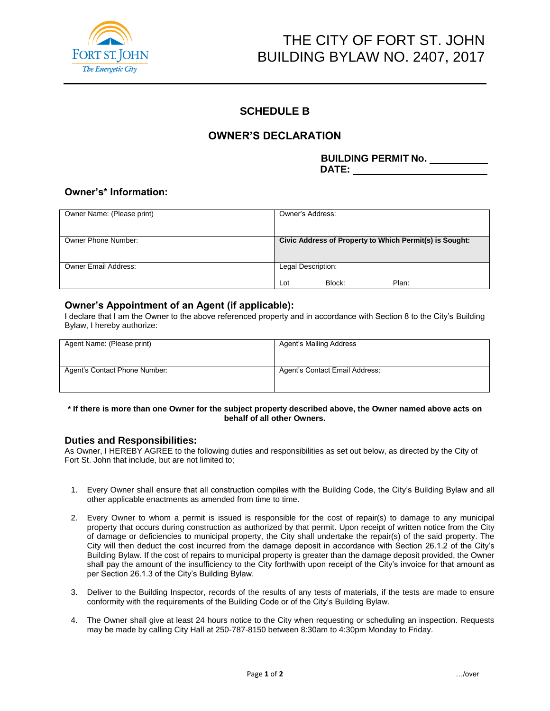

# THE CITY OF FORT ST. JOHN BUILDING BYLAW NO. 2407, 2017

### **SCHEDULE B**

### **OWNER'S DECLARATION**

**BUILDING PERMIT No. DATE:**

### **Owner's\* Information:**

| Owner Name: (Please print) | Owner's Address:                                        |
|----------------------------|---------------------------------------------------------|
|                            |                                                         |
| Owner Phone Number:        | Civic Address of Property to Which Permit(s) is Sought: |
|                            |                                                         |
| Owner Email Address:       | Legal Description:                                      |
|                            | Plan:<br>Block:<br>Lot                                  |

### **Owner's Appointment of an Agent (if applicable):**

I declare that I am the Owner to the above referenced property and in accordance with Section 8 to the City's Building Bylaw, I hereby authorize:

| Agent Name: (Please print)    | Agent's Mailing Address        |
|-------------------------------|--------------------------------|
| Agent's Contact Phone Number: | Agent's Contact Email Address: |

#### **\* If there is more than one Owner for the subject property described above, the Owner named above acts on behalf of all other Owners.**

#### **Duties and Responsibilities:**

As Owner, I HEREBY AGREE to the following duties and responsibilities as set out below, as directed by the City of Fort St. John that include, but are not limited to;

- 1. Every Owner shall ensure that all construction compiles with the Building Code, the City's Building Bylaw and all other applicable enactments as amended from time to time.
- 2. Every Owner to whom a permit is issued is responsible for the cost of repair(s) to damage to any municipal property that occurs during construction as authorized by that permit. Upon receipt of written notice from the City of damage or deficiencies to municipal property, the City shall undertake the repair(s) of the said property. The City will then deduct the cost incurred from the damage deposit in accordance with Section 26.1.2 of the City's Building Bylaw. If the cost of repairs to municipal property is greater than the damage deposit provided, the Owner shall pay the amount of the insufficiency to the City forthwith upon receipt of the City's invoice for that amount as per Section 26.1.3 of the City's Building Bylaw.
- 3. Deliver to the Building Inspector, records of the results of any tests of materials, if the tests are made to ensure conformity with the requirements of the Building Code or of the City's Building Bylaw.
- 4. The Owner shall give at least 24 hours notice to the City when requesting or scheduling an inspection. Requests may be made by calling City Hall at 250-787-8150 between 8:30am to 4:30pm Monday to Friday.